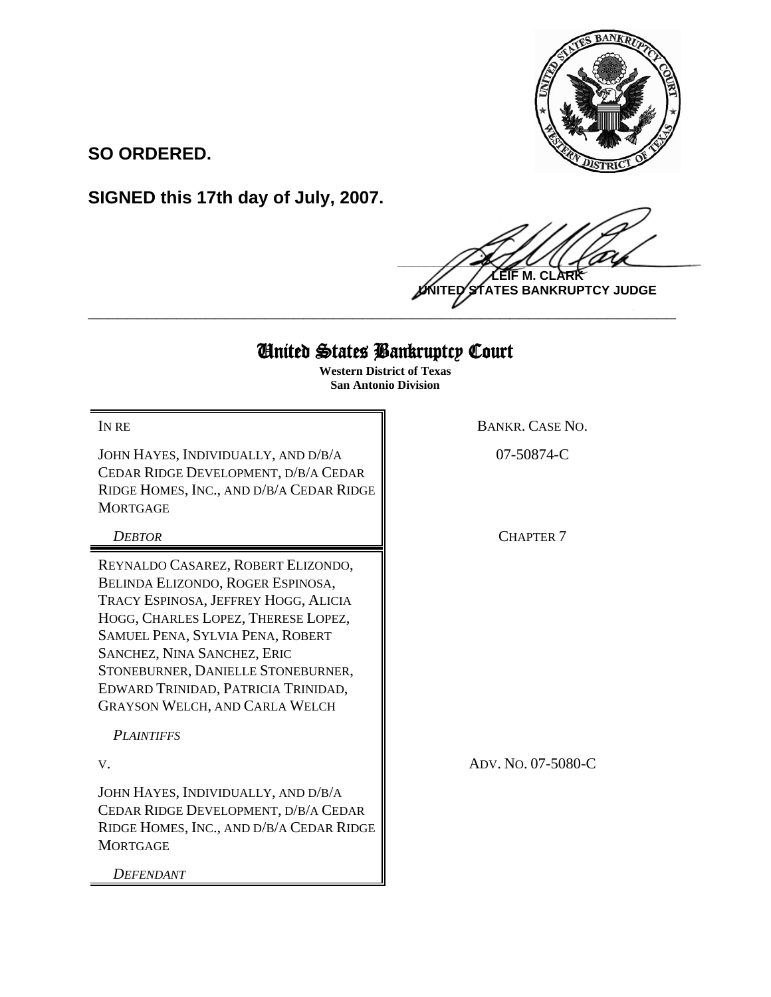

**SO ORDERED.**

**SIGNED this 17th day of July, 2007.**

 $\frac{1}{2}$ **M. CI UNITED STATES BANKRUPTCY JUDGE**

## United States Bankruptcy Court

**\_\_\_\_\_\_\_\_\_\_\_\_\_\_\_\_\_\_\_\_\_\_\_\_\_\_\_\_\_\_\_\_\_\_\_\_\_\_\_\_\_\_\_\_\_\_\_\_\_\_\_\_\_\_\_\_\_\_\_\_**

**Western District of Texas San Antonio Division**

JOHN HAYES, INDIVIDUALLY, AND D/B/A CEDAR RIDGE DEVELOPMENT, D/B/A CEDAR RIDGE HOMES, INC., AND D/B/A CEDAR RIDGE **MORTGAGE** 

REYNALDO CASAREZ, ROBERT ELIZONDO, BELINDA ELIZONDO, ROGER ESPINOSA, TRACY ESPINOSA, JEFFREY HOGG, ALICIA HOGG, CHARLES LOPEZ, THERESE LOPEZ, SAMUEL PENA, SYLVIA PENA, ROBERT SANCHEZ, NINA SANCHEZ, ERIC STONEBURNER, DANIELLE STONEBURNER, EDWARD TRINIDAD, PATRICIA TRINIDAD, GRAYSON WELCH, AND CARLA WELCH

*PLAINTIFFS*

JOHN HAYES, INDIVIDUALLY, AND D/B/A CEDAR RIDGE DEVELOPMENT, D/B/A CEDAR RIDGE HOMES, INC., AND D/B/A CEDAR RIDGE **MORTGAGE** 

*DEFENDANT*

IN RE BANKR. CASE NO.

07-50874-C

**DEBTOR** CHAPTER 7

V. ADV. NO. 07-5080-C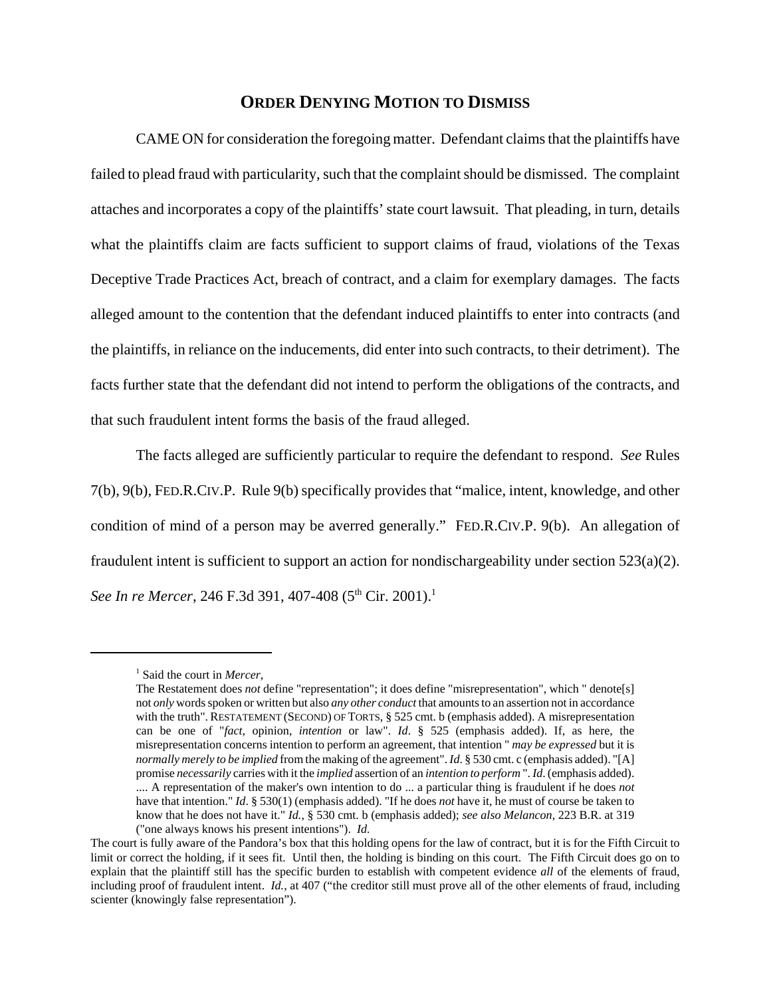## **ORDER DENYING MOTION TO DISMISS**

CAME ON for consideration the foregoing matter. Defendant claims that the plaintiffs have failed to plead fraud with particularity, such that the complaint should be dismissed. The complaint attaches and incorporates a copy of the plaintiffs' state court lawsuit. That pleading, in turn, details what the plaintiffs claim are facts sufficient to support claims of fraud, violations of the Texas Deceptive Trade Practices Act, breach of contract, and a claim for exemplary damages. The facts alleged amount to the contention that the defendant induced plaintiffs to enter into contracts (and the plaintiffs, in reliance on the inducements, did enter into such contracts, to their detriment). The facts further state that the defendant did not intend to perform the obligations of the contracts, and that such fraudulent intent forms the basis of the fraud alleged.

The facts alleged are sufficiently particular to require the defendant to respond. *See* Rules 7(b), 9(b), FED.R.CIV.P. Rule 9(b) specifically provides that "malice, intent, knowledge, and other condition of mind of a person may be averred generally." FED.R.CIV.P. 9(b). An allegation of fraudulent intent is sufficient to support an action for nondischargeability under section  $523(a)(2)$ . *See In re Mercer, 246 F.3d 391, 407-408* (5<sup>th</sup> Cir. 2001).<sup>1</sup>

<sup>1</sup> Said the court in *Mercer*,

The Restatement does *not* define "representation"; it does define "misrepresentation", which " denote[s] not *only* words spoken or written but also *any other conduct* that amounts to an assertion not in accordance with the truth". RESTATEMENT (SECOND) OF TORTS, § 525 cmt. b (emphasis added). A misrepresentation can be one of "*fact*, opinion, *intention* or law". *Id*. § 525 (emphasis added). If, as here, the misrepresentation concerns intention to perform an agreement, that intention " *may be expressed* but it is *normally merely to be implied* from the making of the agreement". *Id*. § 530 cmt. c (emphasis added). "[A] promise *necessarily* carries with it the *implied* assertion of an *intention to perform* ". *Id*. (emphasis added). .... A representation of the maker's own intention to do ... a particular thing is fraudulent if he does *not* have that intention." *Id.* § 530(1) (emphasis added). "If he does *not* have it, he must of course be taken to

know that he does not have it." *Id.*, § 530 cmt. b (emphasis added); *see also Melancon*, 223 B.R. at 319 ("one always knows his present intentions"). *Id.*

The court is fully aware of the Pandora's box that this holding opens for the law of contract, but it is for the Fifth Circuit to limit or correct the holding, if it sees fit. Until then, the holding is binding on this court. The Fifth Circuit does go on to explain that the plaintiff still has the specific burden to establish with competent evidence *all* of the elements of fraud, including proof of fraudulent intent. *Id.*, at 407 ("the creditor still must prove all of the other elements of fraud, including scienter (knowingly false representation").